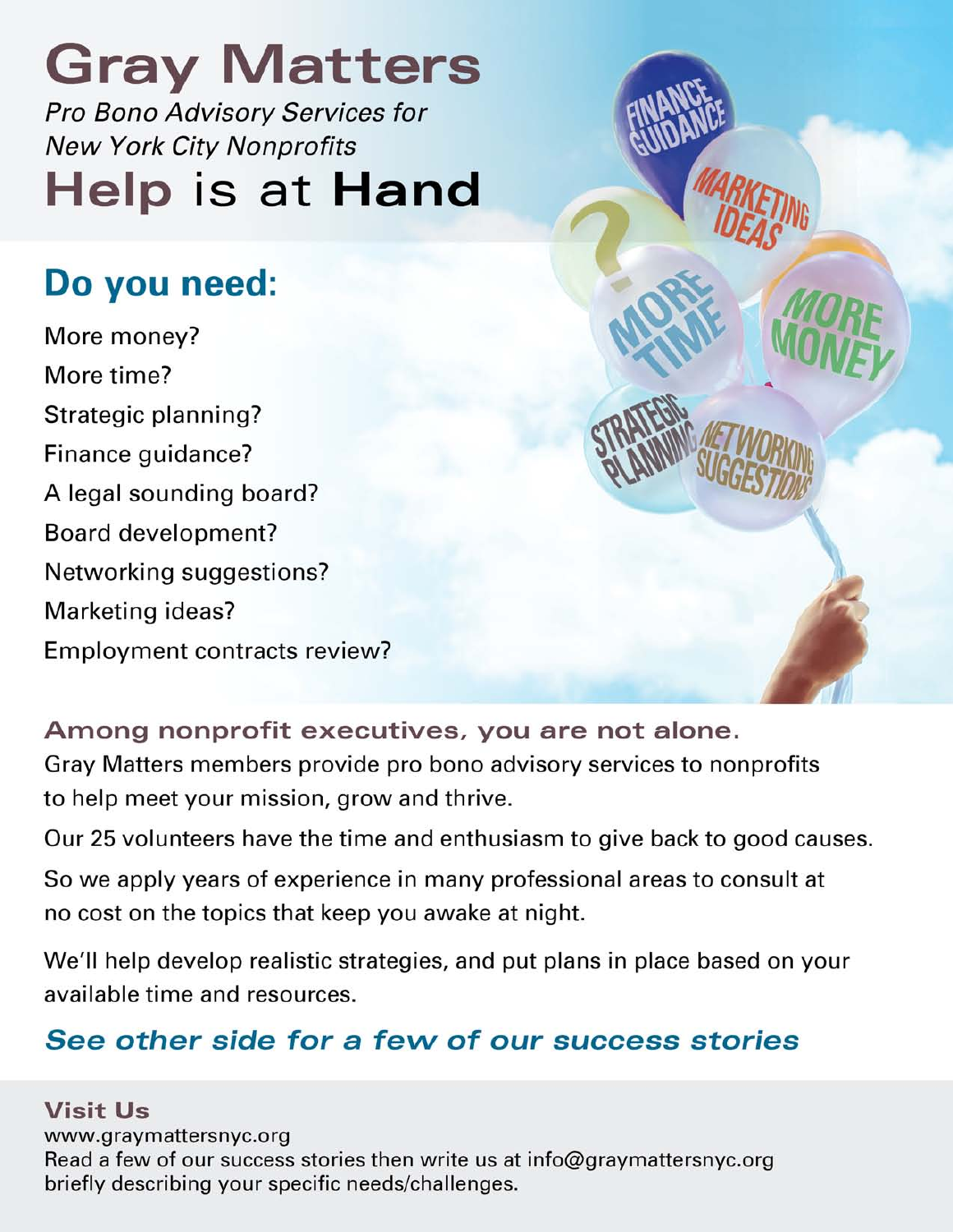**Gray Matters** Pro Bono Advisory Services for **New York City Nonprofits** Help is at Hand

## Do you need:

More money? More time? Strategic planning? Finance guidance? A legal sounding board? Board development? Networking suggestions? Marketing ideas? Employment contracts review?



Our 25 volunteers have the time and enthusiasm to give back to good causes.

So we apply years of experience in many professional areas to consult at no cost on the topics that keep you awake at night.

We'll help develop realistic strategies, and put plans in place based on your available time and resources.

## See other side for a few of our success stories

**Visit Us** 

www.graymattersnyc.org Read a few of our success stories then write us at info@graymattersnyc.org briefly describing your specific needs/challenges.